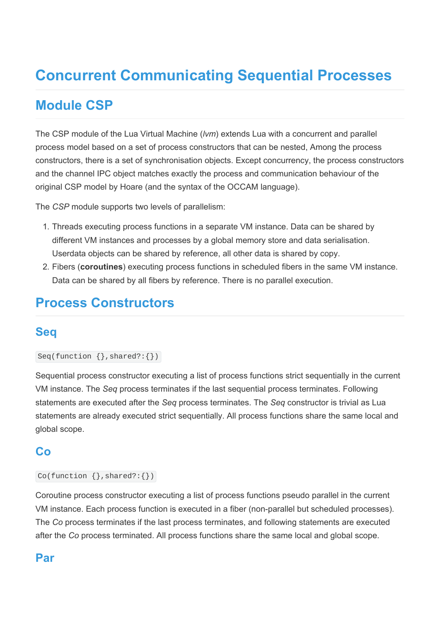# Concurrent Communicating Sequential Processes

# Module CSP

The CSP module of the Lua Virtual Machine (*lvm*) extends Lua with a concurrent and parallel process model based on a set of process constructors that can be nested, Among the process constructors, there is a set of synchronisation objects. Except concurrency, the process constructors and the channel IPC object matches exactly the process and communication behaviour of the original CSP model by Hoare (and the syntax of the OCCAM language).

The CSP module supports two levels of parallelism:

- 1. Threads executing process functions in a separate VM instance. Data can be shared by different VM instances and processes by a global memory store and data serialisation. Userdata objects can be shared by reference, all other data is shared by copy.
- 2. Fibers (coroutines) executing process functions in scheduled fibers in the same VM instance. Data can be shared by all fibers by reference. There is no parallel execution.

# Process Constructors

## Seq

```
Seq(function \{\}, shared?:\{\})
```
Sequential process constructor executing a list of process functions strict sequentially in the current VM instance. The Seq process terminates if the last sequential process terminates. Following statements are executed after the Seq process terminates. The Seq constructor is trivial as Lua statements are already executed strict sequentially. All process functions share the same local and global scope.

### Co

#### $Co(function \{}, shared?:\})$

Coroutine process constructor executing a list of process functions pseudo parallel in the current VM instance. Each process function is executed in a fiber (non-parallel but scheduled processes). The Co process terminates if the last process terminates, and following statements are executed after the Co process terminated. All process functions share the same local and global scope.

## Par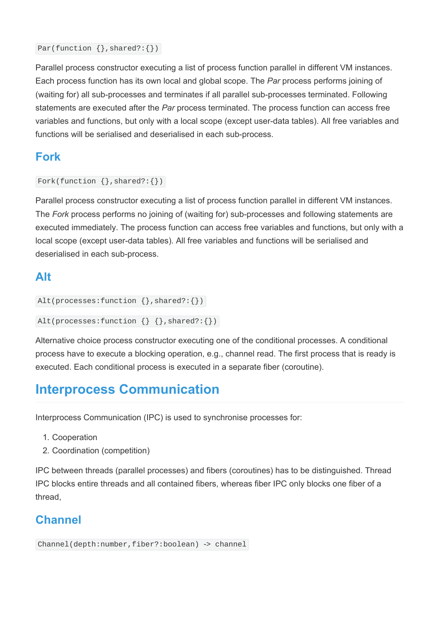```
Par(function {}, shared?:{})
```
Parallel process constructor executing a list of process function parallel in different VM instances. Each process function has its own local and global scope. The Par process performs joining of (waiting for) all sub-processes and terminates if all parallel sub-processes terminated. Following statements are executed after the Par process terminated. The process function can access free variables and functions, but only with a local scope (except user-data tables). All free variables and functions will be serialised and deserialised in each sub-process.

## Fork

```
Fork(function \{\}, shared?:\{\}\
```
Parallel process constructor executing a list of process function parallel in different VM instances. The Fork process performs no joining of (waiting for) sub-processes and following statements are executed immediately. The process function can access free variables and functions, but only with a local scope (except user-data tables). All free variables and functions will be serialised and deserialised in each sub-process.

# Alt

```
Alt(processes:function {},shared?:{})
```

```
Alt(processes:function \{\} \{\}, shared?:\{\})
```
Alternative choice process constructor executing one of the conditional processes. A conditional process have to execute a blocking operation, e.g., channel read. The first process that is ready is executed. Each conditional process is executed in a separate fiber (coroutine).

# Interprocess Communication

Interprocess Communication (IPC) is used to synchronise processes for:

- 1. Cooperation
- 2. Coordination (competition)

IPC between threads (parallel processes) and fibers (coroutines) has to be distinguished. Thread IPC blocks entire threads and all contained fibers, whereas fiber IPC only blocks one fiber of a thread,

# **Channel**

```
Channel(depth:number,fiber?:boolean) -> channel
```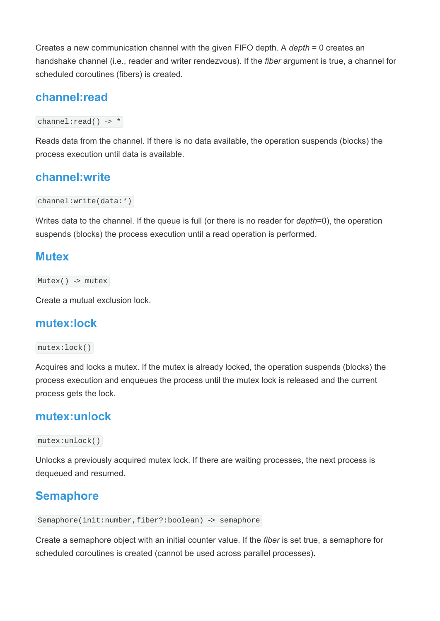Creates a new communication channel with the given FIFO depth. A depth = 0 creates an handshake channel (i.e., reader and writer rendezvous). If the *fiber* argument is true, a channel for scheduled coroutines (fibers) is created.

### channel:read

channel: $read()$  -> \*

Reads data from the channel. If there is no data available, the operation suspends (blocks) the process execution until data is available.

#### channel:write

channel:write(data:\*)

Writes data to the channel. If the queue is full (or there is no reader for *depth*=0), the operation suspends (blocks) the process execution until a read operation is performed.

#### **Mutex**

 $Mutes()$  -> mutex

Create a mutual exclusion lock.

#### mutex:lock

#### mutex:lock()

Acquires and locks a mutex. If the mutex is already locked, the operation suspends (blocks) the process execution and enqueues the process until the mutex lock is released and the current process gets the lock.

#### mutex:unlock

mutex:unlock()

Unlocks a previously acquired mutex lock. If there are waiting processes, the next process is dequeued and resumed.

## Semaphore

```
Semaphore(init:number,fiber?:boolean) -> semaphore
```
Create a semaphore object with an initial counter value. If the fiber is set true, a semaphore for scheduled coroutines is created (cannot be used across parallel processes).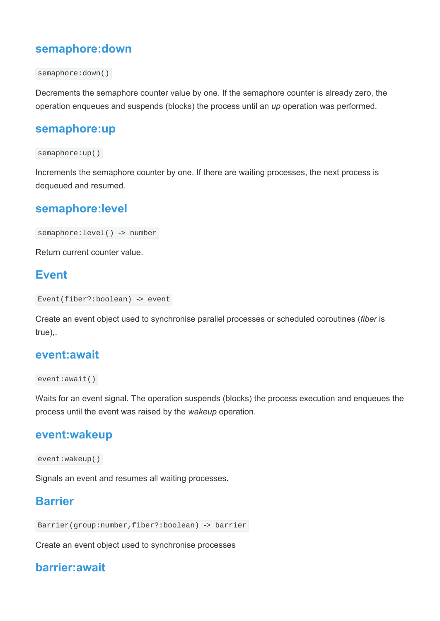### semaphore:down

```
semaphore:down()
```
Decrements the semaphore counter value by one. If the semaphore counter is already zero, the operation enqueues and suspends (blocks) the process until an up operation was performed.

#### semaphore:up

#### semaphore:up()

Increments the semaphore counter by one. If there are waiting processes, the next process is dequeued and resumed.

#### semaphore:level

```
semaphore: level() -> number
```
Return current counter value.

### Event

```
Event(fiber?:boolean) -> event
```
Create an event object used to synchronise parallel processes or scheduled coroutines (fiber is true),.

#### event:await

```
event:await()
```
Waits for an event signal. The operation suspends (blocks) the process execution and enqueues the process until the event was raised by the wakeup operation.

#### event:wakeup

```
event:wakeup()
```
Signals an event and resumes all waiting processes.

## **Barrier**

```
Barrier(group:number,fiber?:boolean) -> barrier
```
Create an event object used to synchronise processes

## barrier:await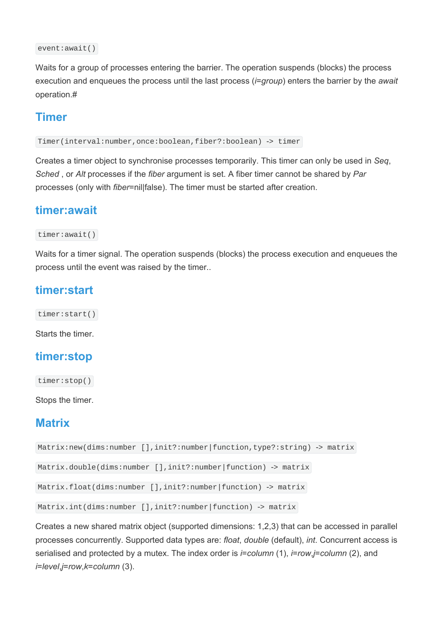```
event:await()
```
Waits for a group of processes entering the barrier. The operation suspends (blocks) the process execution and enqueues the process until the last process (*i=group*) enters the barrier by the await operation.#

### Timer

Timer(interval:number,once:boolean,fiber?:boolean) -> timer

Creates a timer object to synchronise processes temporarily. This timer can only be used in Seq, Sched, or Alt processes if the fiber argument is set. A fiber timer cannot be shared by Par processes (only with fiber=nil|false). The timer must be started after creation.

#### timer:await

```
timer:await()
```
Waits for a timer signal. The operation suspends (blocks) the process execution and enqueues the process until the event was raised by the timer..

## timer:start

timer:start()

Starts the timer.

## timer:stop

timer:stop()

Stops the timer.

## **Matrix**

```
Matrix:new(dims:number [],init?:number|function,type?:string) -> matrix
```

```
Matrix.double(dims:number [],init?:number|function) -> matrix
```

```
Matrix.float(dims:number [],init?:number|function) -> matrix
```

```
Matrix.int(dims:number [],init?:number|function) -> matrix
```
Creates a new shared matrix object (supported dimensions: 1,2,3) that can be accessed in parallel processes concurrently. Supported data types are: float, double (default), int. Concurrent access is serialised and protected by a mutex. The index order is  $i=column(1)$ ,  $i=row,j=column(2)$ , and i=level,j=row,k=column (3).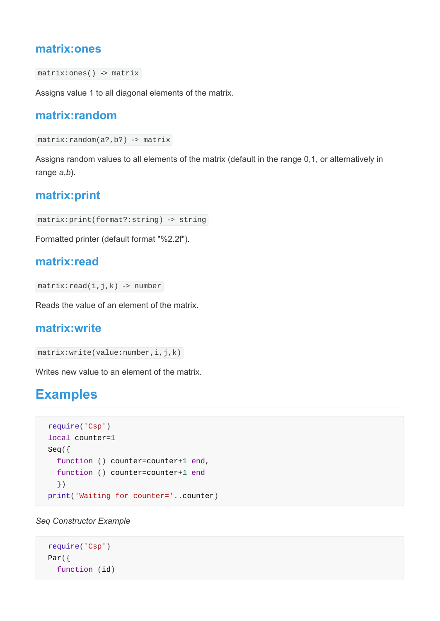#### matrix:ones

```
matrix:ones() -> matrix
```
Assigns value 1 to all diagonal elements of the matrix.

### matrix:random

```
matrix:random(a?,b?) -> matrix
```
Assigns random values to all elements of the matrix (default in the range 0,1, or alternatively in range  $a,b$ ).

### matrix:print

```
matrix:print(format?:string) -> string
```
Formatted printer (default format "%2.2f").

### matrix:read

 $matrix:read(i, j, k)$  -> number

Reads the value of an element of the matrix.

### matrix:write

```
matrix:write(value:number,i,j,k)
```
Writes new value to an element of the matrix.

# **Examples**

```
require('Csp')
local counter=1
Seq({
   function () counter=counter+1 end,
   function () counter=counter+1 end
   })
print('Waiting for counter='..counter)
```
Seq Constructor Example

```
require('Csp')
Par({
   function (id)
```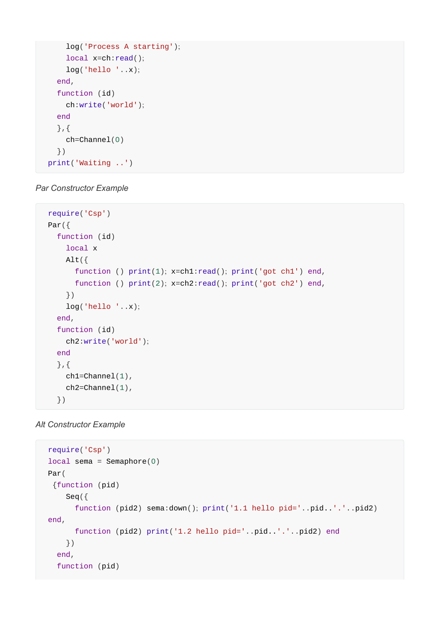```
 log('Process A starting');
     local x=ch:read();
     log('hello '..x);
   end,
   function (id)
     ch:write('world');
   end
   },{
     ch=Channel(0)
   })
print('Waiting ..')
```
#### Par Constructor Example

```
require('Csp')
Par(\{ function (id)
     local x
    Alt(f)function () print(1); x=ch1:read(); print('got ch1') end,
      function () print(2); x=ch2:read(); print('got ch2') end,
     })
     log('hello '..x);
   end,
   function (id)
     ch2:write('world');
   end
   },{
    ch1=Channel(1),
    ch2=Channe1(1),
   })
```

```
Alt Constructor Example
```

```
require('Csp')
local sema = Semaphore(0)
Par(
 {function (pid)
     Seq({
      function (pid2) sema:down(); print('1.1 hello pid='..pid..'.'..pid2)
end,
       function (pid2) print('1.2 hello pid='..pid..'.'..pid2) end
     })
   end,
   function (pid)
```